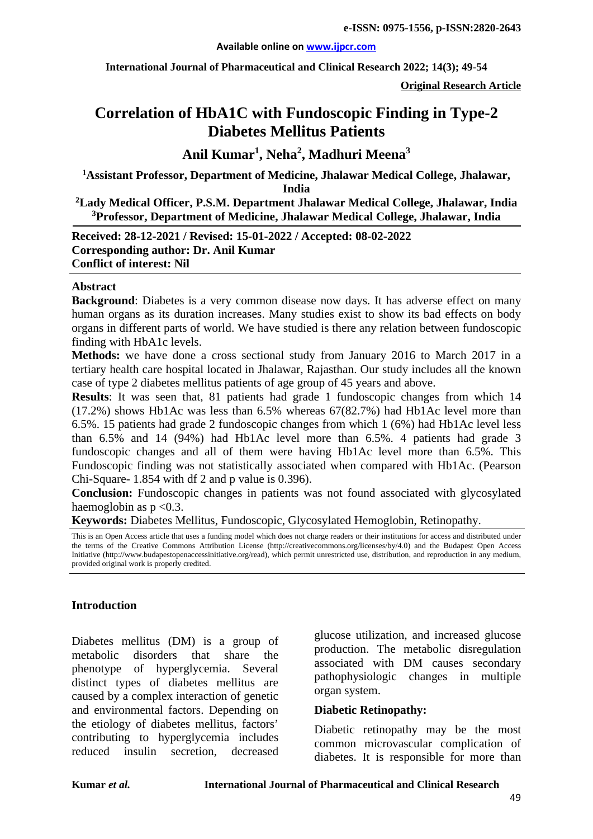#### **Available online on [www.ijpcr.com](http://www.ijpcr.com/)**

**International Journal of Pharmaceutical and Clinical Research 2022; 14(3); 49-54**

**Original Research Article**

# **Correlation of HbA1C with Fundoscopic Finding in Type-2 Diabetes Mellitus Patients**

**Anil Kumar1 , Neha<sup>2</sup> , Madhuri Meena<sup>3</sup>**

**1 Assistant Professor, Department of Medicine, Jhalawar Medical College, Jhalawar, India** 

**2 Lady Medical Officer, P.S.M. Department Jhalawar Medical College, Jhalawar, India 3 Professor, Department of Medicine, Jhalawar Medical College, Jhalawar, India**

**Received: 28-12-2021 / Revised: 15-01-2022 / Accepted: 08-02-2022 Corresponding author: Dr. Anil Kumar Conflict of interest: Nil**

#### **Abstract**

**Background**: Diabetes is a very common disease now days. It has adverse effect on many human organs as its duration increases. Many studies exist to show its bad effects on body organs in different parts of world. We have studied is there any relation between fundoscopic finding with HbA1c levels.

**Methods:** we have done a cross sectional study from January 2016 to March 2017 in a tertiary health care hospital located in Jhalawar, Rajasthan. Our study includes all the known case of type 2 diabetes mellitus patients of age group of 45 years and above.

**Results**: It was seen that, 81 patients had grade 1 fundoscopic changes from which 14 (17.2%) shows Hb1Ac was less than 6.5% whereas 67(82.7%) had Hb1Ac level more than 6.5%. 15 patients had grade 2 fundoscopic changes from which 1 (6%) had Hb1Ac level less than 6.5% and 14 (94%) had Hb1Ac level more than 6.5%. 4 patients had grade 3 fundoscopic changes and all of them were having Hb1Ac level more than 6.5%. This Fundoscopic finding was not statistically associated when compared with Hb1Ac. (Pearson Chi-Square- 1.854 with df 2 and p value is 0.396).

**Conclusion:** Fundoscopic changes in patients was not found associated with glycosylated haemoglobin as  $p < 0.3$ .

**Keywords:** Diabetes Mellitus, Fundoscopic, Glycosylated Hemoglobin, Retinopathy.

This is an Open Access article that uses a funding model which does not charge readers or their institutions for access and distributed under the terms of the Creative Commons Attribution License (http://creativecommons.org/licenses/by/4.0) and the Budapest Open Access Initiative (http://www.budapestopenaccessinitiative.org/read), which permit unrestricted use, distribution, and reproduction in any medium, provided original work is properly credited.

#### **Introduction**

Diabetes mellitus (DM) is a group of metabolic disorders that share the phenotype of hyperglycemia. Several distinct types of diabetes mellitus are caused by a complex interaction of genetic and environmental factors. Depending on the etiology of diabetes mellitus, factors' contributing to hyperglycemia includes reduced insulin secretion, decreased

glucose utilization, and increased glucose production. The metabolic disregulation associated with DM causes secondary pathophysiologic changes in multiple organ system.

#### **Diabetic Retinopathy:**

Diabetic retinopathy may be the most common microvascular complication of diabetes. It is responsible for more than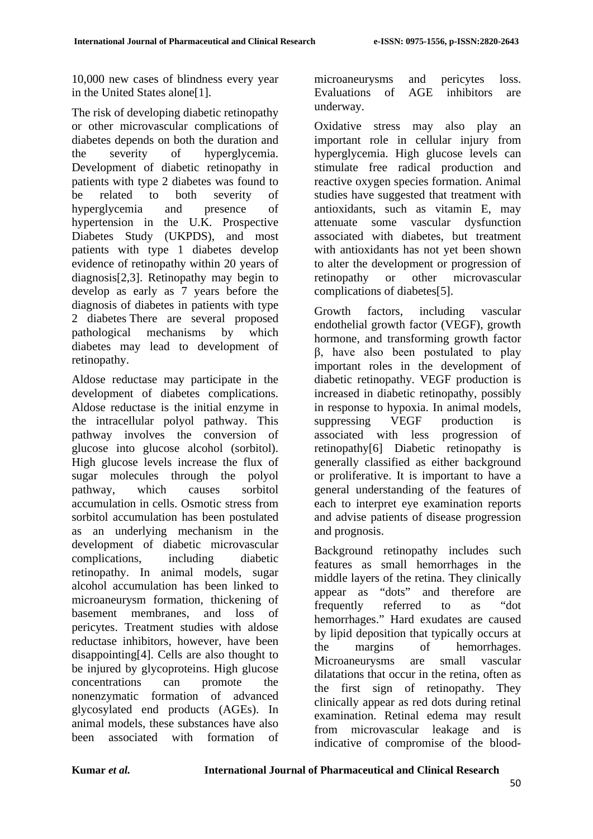10,000 new cases of blindness every year in the United States alone[1].

The risk of developing diabetic retinopathy or other microvascular complications of diabetes depends on both the duration and the severity of hyperglycemia. Development of diabetic retinopathy in patients with type 2 diabetes was found to be related to both severity of hyperglycemia and presence of hypertension in the U.K. Prospective Diabetes Study (UKPDS), and most patients with type 1 diabetes develop evidence of retinopathy within 20 years of diagnosis[2,3]. Retinopathy may begin to develop as early as 7 years before the diagnosis of diabetes in patients with type 2 diabetes There are several proposed pathological mechanisms by which diabetes may lead to development of retinopathy.

Aldose reductase may participate in the development of diabetes complications. Aldose reductase is the initial enzyme in the intracellular polyol pathway. This pathway involves the conversion of glucose into glucose alcohol (sorbitol). High glucose levels increase the flux of sugar molecules through the polyol pathway, which causes sorbitol accumulation in cells. Osmotic stress from sorbitol accumulation has been postulated as an underlying mechanism in the development of diabetic microvascular complications, including diabetic retinopathy. In animal models, sugar alcohol accumulation has been linked to microaneurysm formation, thickening of basement membranes, and loss of pericytes. Treatment studies with aldose reductase inhibitors, however, have been disappointing[4]. Cells are also thought to be injured by glycoproteins. High glucose concentrations can promote the nonenzymatic formation of advanced glycosylated end products (AGEs). In animal models, these substances have also been associated with formation of

microaneurysms and pericytes loss. Evaluations of AGE inhibitors are underway.

Oxidative stress may also play an important role in cellular injury from hyperglycemia. High glucose levels can stimulate free radical production and reactive oxygen species formation. Animal studies have suggested that treatment with antioxidants, such as vitamin E, may attenuate some vascular dysfunction associated with diabetes, but treatment with antioxidants has not yet been shown to alter the development or progression of retinopathy or other microvascular complications of diabetes[5].

Growth factors, including vascular endothelial growth factor (VEGF), growth hormone, and transforming growth factor β, have also been postulated to play important roles in the development of diabetic retinopathy. VEGF production is increased in diabetic retinopathy, possibly in response to hypoxia. In animal models, suppressing VEGF production is associated with less progression of retinopathy[6] Diabetic retinopathy is generally classified as either background or proliferative. It is important to have a general understanding of the features of each to interpret eye examination reports and advise patients of disease progression and prognosis.

Background retinopathy includes such features as small hemorrhages in the middle layers of the retina. They clinically appear as "dots" and therefore are frequently referred to as "dot hemorrhages." Hard exudates are caused by lipid deposition that typically occurs at the margins of hemorrhages. Microaneurysms are small vascular dilatations that occur in the retina, often as the first sign of retinopathy. They clinically appear as red dots during retinal examination. Retinal edema may result from microvascular leakage and is indicative of compromise of the blood-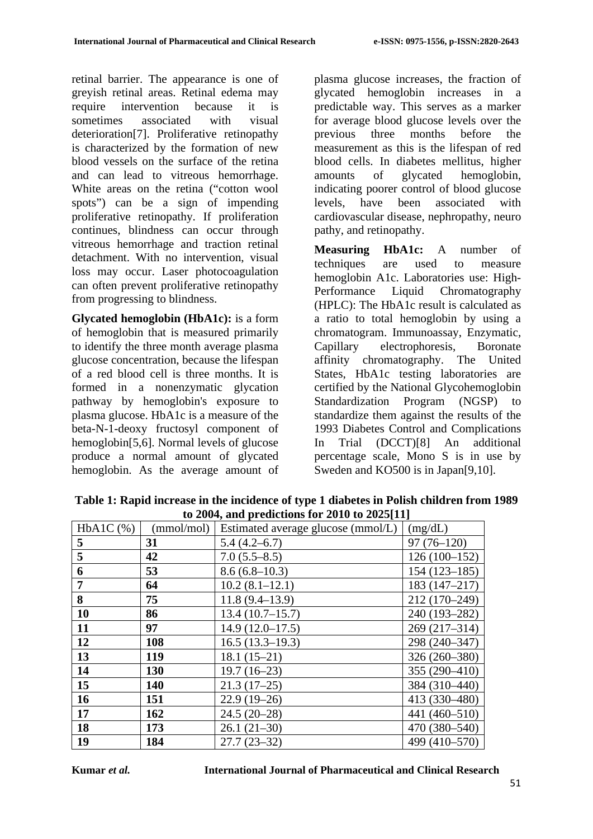retinal barrier. The appearance is one of greyish retinal areas. Retinal edema may require intervention because it is sometimes associated with visual deterioration[7]. Proliferative retinopathy is characterized by the formation of new blood vessels on the surface of the retina and can lead to vitreous hemorrhage. White areas on the retina ("cotton wool spots") can be a sign of impending proliferative retinopathy. If proliferation continues, blindness can occur through vitreous hemorrhage and traction retinal detachment. With no intervention, visual loss may occur. Laser photocoagulation can often prevent proliferative retinopathy from progressing to blindness.

**Glycated hemoglobin (HbA1c):** is a form of hemoglobin that is measured primarily to identify the three month average plasma glucose concentration, because the lifespan of a red blood cell is three months. It is formed in a nonenzymatic glycation pathway by hemoglobin's exposure to plasma glucose. HbA1c is a measure of the beta-N-1-deoxy fructosyl component of hemoglobin[5,6]. Normal levels of glucose produce a normal amount of glycated hemoglobin. As the average amount of plasma glucose increases, the fraction of glycated hemoglobin increases in a predictable way. This serves as a marker for average blood glucose levels over the previous three months before the measurement as this is the lifespan of red blood cells. In diabetes mellitus, higher amounts of glycated hemoglobin, indicating poorer control of blood glucose levels, have been associated with cardiovascular disease, nephropathy, neuro pathy, and retinopathy.

**Measuring HbA1c:** A number of techniques are used to measure hemoglobin A1c. Laboratories use: High-Performance Liquid Chromatography (HPLC): The HbA1c result is calculated as a ratio to total hemoglobin by using a chromatogram. Immunoassay, Enzymatic, Capillary electrophoresis, Boronate affinity chromatography. The United States, HbA1c testing laboratories are certified by the National Glycohemoglobin Standardization Program (NGSP) to standardize them against the results of the 1993 Diabetes Control and Complications In Trial (DCCT)[8] An additional percentage scale, Mono S is in use by Sweden and KO500 is in Japan[9,10].

| $100 - 00$ is and predictions for 2010 to 2020 [11] |            |                                    |                |  |  |  |  |
|-----------------------------------------------------|------------|------------------------------------|----------------|--|--|--|--|
| $HbA1C$ $(\% )$                                     | (mmol/mol) | Estimated average glucose (mmol/L) | (mg/dL)        |  |  |  |  |
| 5                                                   | 31         | $5.4(4.2-6.7)$                     | $97(76-120)$   |  |  |  |  |
| 5                                                   | 42         | $7.0(5.5-8.5)$                     | $126(100-152)$ |  |  |  |  |
| 6                                                   | 53         | $8.6(6.8-10.3)$                    | $154(123-185)$ |  |  |  |  |
| $\overline{7}$                                      | 64         | $10.2(8.1-12.1)$                   | $183(147-217)$ |  |  |  |  |
| 8                                                   | 75         | $11.8(9.4 - 13.9)$                 | 212 (170-249)  |  |  |  |  |
| 10                                                  | 86         | 13.4(10.7–15.7)                    | 240 (193-282)  |  |  |  |  |
| 11                                                  | 97         | $14.9(12.0-17.5)$                  | 269 (217-314)  |  |  |  |  |
| 12                                                  | 108        | $16.5(13.3-19.3)$                  | 298 (240-347)  |  |  |  |  |
| 13                                                  | 119        | $18.1(15-21)$                      | 326 (260-380)  |  |  |  |  |
| 14                                                  | 130        | $19.7(16-23)$                      | 355 (290-410)  |  |  |  |  |
| 15                                                  | 140        | $21.3(17-25)$                      | 384 (310-440)  |  |  |  |  |
| 16                                                  | 151        | $22.9(19-26)$                      | 413 (330-480)  |  |  |  |  |
| 17                                                  | 162        | $24.5(20-28)$                      | 441 (460-510)  |  |  |  |  |
| 18                                                  | 173        | $26.1(21-30)$                      | 470 (380-540)  |  |  |  |  |
| 19                                                  | 184        | $27.7(23-32)$                      | 499 (410-570)  |  |  |  |  |

**Table 1: Rapid increase in the incidence of type 1 diabetes in Polish children from 1989 to 2004, and predictions for 2010 to 2025[11]**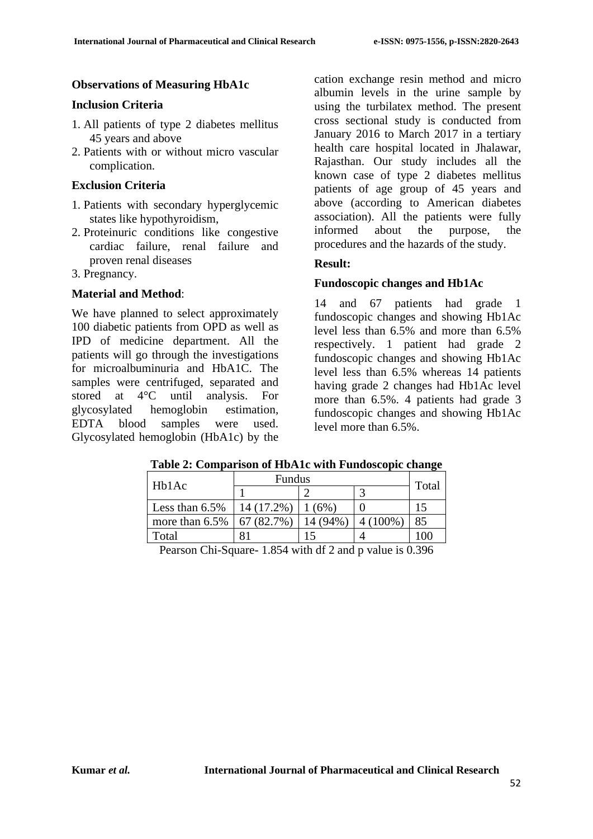## **Observations of Measuring HbA1c**

#### **Inclusion Criteria**

- 1. All patients of type 2 diabetes mellitus 45 years and above
- 2. Patients with or without micro vascular complication.

#### **Exclusion Criteria**

- 1. Patients with secondary hyperglycemic states like hypothyroidism,
- 2. Proteinuric conditions like congestive cardiac failure, renal failure and proven renal diseases
- 3. Pregnancy.

#### **Material and Method**:

We have planned to select approximately 100 diabetic patients from OPD as well as IPD of medicine department. All the patients will go through the investigations for microalbuminuria and HbA1C. The samples were centrifuged, separated and stored at 4°C until analysis. For glycosylated hemoglobin estimation, EDTA blood samples were used. Glycosylated hemoglobin (HbA1c) by the cation exchange resin method and micro albumin levels in the urine sample by using the turbilatex method. The present cross sectional study is conducted from January 2016 to March 2017 in a tertiary health care hospital located in Jhalawar, Rajasthan. Our study includes all the known case of type 2 diabetes mellitus patients of age group of 45 years and above (according to American diabetes association). All the patients were fully informed about the purpose, the procedures and the hazards of the study.

## **Result:**

## **Fundoscopic changes and Hb1Ac**

14 and 67 patients had grade 1 fundoscopic changes and showing Hb1Ac level less than 6.5% and more than 6.5% respectively. 1 patient had grade 2 fundoscopic changes and showing Hb1Ac level less than 6.5% whereas 14 patients having grade 2 changes had Hb1Ac level more than 6.5%. 4 patients had grade 3 fundoscopic changes and showing Hb1Ac level more than 6.5%.

#### **Table 2: Comparison of HbA1c with Fundoscopic change**

|                   | <b>Fundus</b> |          |           |       |
|-------------------|---------------|----------|-----------|-------|
| Hb1Ac             |               |          |           | Total |
| Less than $6.5\%$ | 14 (17.2%)    | (6%)     |           |       |
| more than $6.5\%$ | 67 (82.7%)    | 14 (94%) | $(100\%)$ | 85    |
| Total             |               |          |           | 00    |
|                   |               |          |           |       |

Pearson Chi-Square- 1.854 with df 2 and p value is 0.396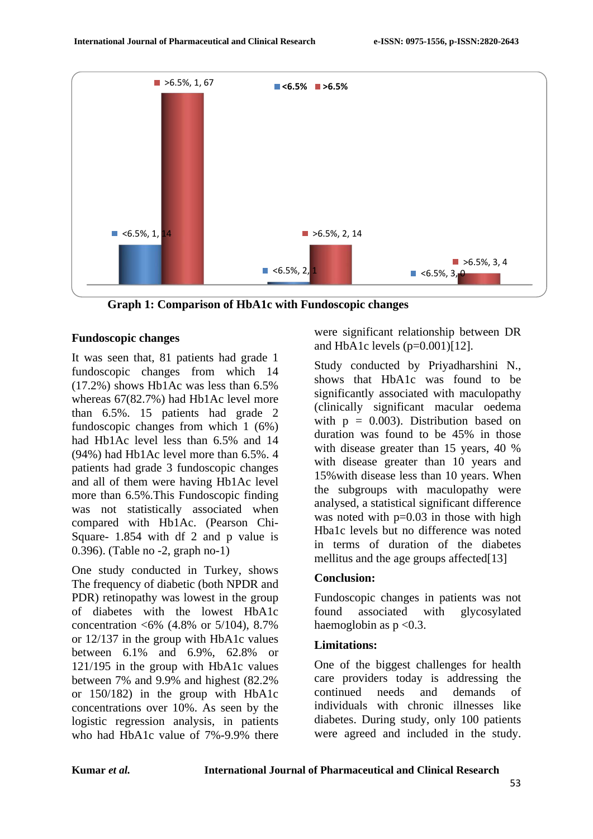

**Graph 1: Comparison of HbA1c with Fundoscopic changes**

## **Fundoscopic changes**

It was seen that, 81 patients had grade 1 fundoscopic changes from which 14 (17.2%) shows Hb1Ac was less than 6.5% whereas 67(82.7%) had Hb1Ac level more than 6.5%. 15 patients had grade 2 fundoscopic changes from which 1 (6%) had Hb1Ac level less than 6.5% and 14 (94%) had Hb1Ac level more than 6.5%. 4 patients had grade 3 fundoscopic changes and all of them were having Hb1Ac level more than 6.5%.This Fundoscopic finding was not statistically associated when compared with Hb1Ac. (Pearson Chi-Square- 1.854 with df 2 and p value is 0.396). (Table no -2, graph no-1)

One study conducted in Turkey, shows The frequency of diabetic (both NPDR and PDR) retinopathy was lowest in the group of diabetes with the lowest HbA1c concentration <6% (4.8% or 5/104), 8.7% or 12/137 in the group with HbA1c values between 6.1% and 6.9%, 62.8% or 121/195 in the group with HbA1c values between 7% and 9.9% and highest (82.2% or 150/182) in the group with HbA1c concentrations over 10%. As seen by the logistic regression analysis, in patients who had HbA1c value of 7%-9.9% there

were significant relationship between DR and HbA1c levels  $(p=0.001)$ [12].

Study conducted by Priyadharshini N., shows that HbA1c was found to be significantly associated with maculopathy (clinically significant macular oedema with  $p = 0.003$ . Distribution based on duration was found to be 45% in those with disease greater than 15 years, 40 % with disease greater than 10 years and 15%with disease less than 10 years. When the subgroups with maculopathy were analysed, a statistical significant difference was noted with  $p=0.03$  in those with high Hba1c levels but no difference was noted in terms of duration of the diabetes mellitus and the age groups affected[13]

## **Conclusion:**

Fundoscopic changes in patients was not found associated with glycosylated haemoglobin as  $p < 0.3$ .

## **Limitations:**

One of the biggest challenges for health care providers today is addressing the continued needs and demands of individuals with chronic illnesses like diabetes. During study, only 100 patients were agreed and included in the study.